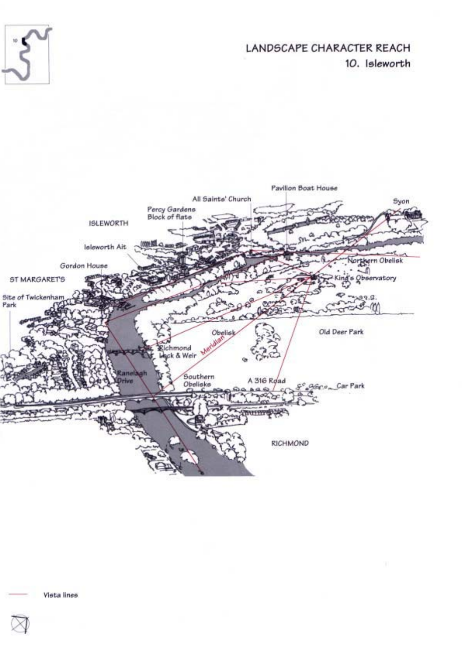

LANDSCAPE CHARACTER REACH 10. Isleworth

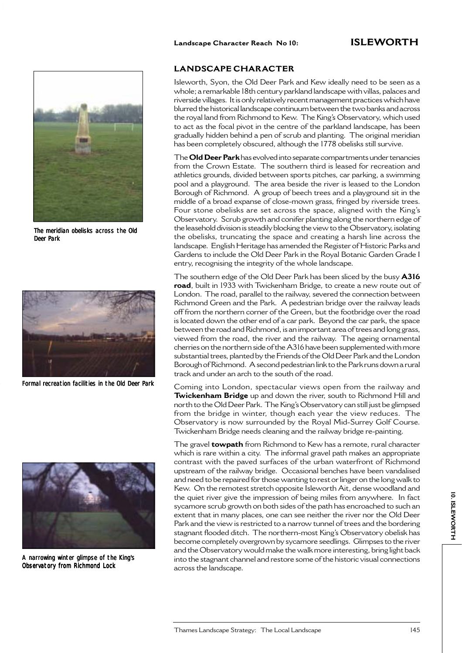

The meridian obelisks across the Old Deer Park



Formal recreation facilities in the Old Deer Park



A narrowing winter glimpse of the King's Observatory from Richmond Lock

#### **LANDSCAPE CHARACTER**

Isleworth, Syon, the Old Deer Park and Kew ideally need to be seen as a whole; a remarkable 18th century parkland landscape with villas, palaces and riverside villages. It is only relatively recent management practices which have blurred the historical landscape continuum between the two banks and across the royal land from Richmond to Kew. The King's Observatory, which used to act as the focal pivot in the centre of the parkland landscape, has been gradually hidden behind a pen of scrub and planting. The original meridian has been completely obscured, although the 1778 obelisks still survive.

The **Old Deer Park** has evolved into separate compartments under tenancies from the Crown Estate. The southern third is leased for recreation and athletics grounds, divided between sports pitches, car parking, a swimming pool and a playground. The area beside the river is leased to the London Borough of Richmond. A group of beech trees and a playground sit in the middle of a broad expanse of close-mown grass, fringed by riverside trees. Four stone obelisks are set across the space, aligned with the King's Observatory. Scrub growth and conifer planting along the northern edge of the leasehold division is steadily blocking the view to the Observatory, isolating the obelisks, truncating the space and creating a harsh line across the landscape. English Heritage has amended the Register of Historic Parks and Gardens to include the Old Deer Park in the Royal Botanic Garden Grade I entry, recognising the integrity of the whole landscape.

The southern edge of the Old Deer Park has been sliced by the busy **A316 road**, built in 1933 with Twickenham Bridge, to create a new route out of London. The road, parallel to the railway, severed the connection between Richmond Green and the Park. A pedestrian bridge over the railway leads off from the northern corner of the Green, but the footbridge over the road is located down the other end of a car park. Beyond the car park, the space between the road and Richmond, is an important area of trees and long grass, viewed from the road, the river and the railway. The ageing ornamental cherries on the northern side of the A316 have been supplemented with more substantial trees, planted by the Friends of the Old Deer Park and the London Borough of Richmond. A second pedestrian link to the Park runs down a rural track and under an arch to the south of the road.

Coming into London, spectacular views open from the railway and **Twickenham Bridge** up and down the river, south to Richmond Hill and north to the Old Deer Park. The King's Observatory can still just be glimpsed from the bridge in winter, though each year the view reduces. The Observatory is now surrounded by the Royal Mid-Surrey Golf Course. Twickenham Bridge needs cleaning and the railway bridge re-painting.

The gravel **towpath** from Richmond to Kew has a remote, rural character which is rare within a city. The informal gravel path makes an appropriate contrast with the paved surfaces of the urban waterfront of Richmond upstream of the railway bridge. Occasional benches have been vandalised and need to be repaired for those wanting to rest or linger on the long walk to Kew. On the remotest stretch opposite Isleworth Ait, dense woodland and the quiet river give the impression of being miles from anywhere. In fact sycamore scrub growth on both sides of the path has encroached to such an extent that in many places, one can see neither the river nor the Old Deer Park and the view is restricted to a narrow tunnel of trees and the bordering stagnant flooded ditch. The northern-most King's Observatory obelisk has become completely overgrown by sycamore seedlings. Glimpses to the river and the Observatory would make the walk more interesting, bring light back into the stagnant channel and restore some of the historic visual connections across the landscape.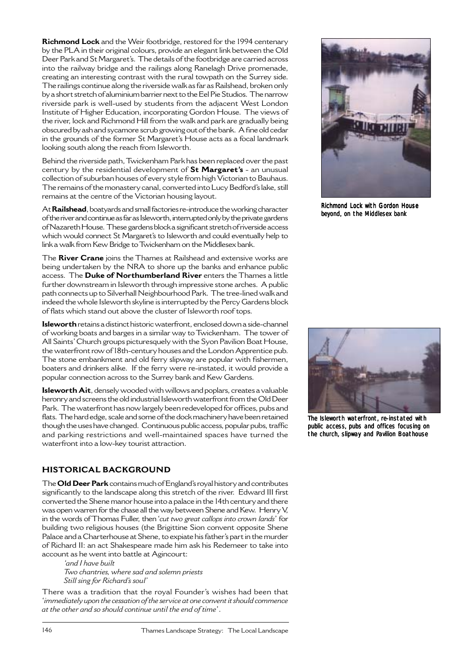**Richmond Lock** and the Weir footbridge, restored for the 1994 centenary by the PLA in their original colours, provide an elegant link between the Old Deer Park and St Margaret's. The details of the footbridge are carried across into the railway bridge and the railings along Ranelagh Drive promenade, creating an interesting contrast with the rural towpath on the Surrey side. The railings continue along the riverside walk as far as Railshead, broken only by a short stretch of aluminium barrier next to the Eel Pie Studios. The narrow riverside park is well-used by students from the adjacent West London Institute of Higher Education, incorporating Gordon House. The views of the river, lock and Richmond Hill from the walk and park are gradually being obscured by ash and sycamore scrub growing out of the bank. A fine old cedar in the grounds of the former St Margaret's House acts as a focal landmark looking south along the reach from Isleworth.

Behind the riverside path, Twickenham Park has been replaced over the past century by the residential development of **St Margaret's** - an unusual collection of suburban houses of every style from high Victorian to Bauhaus. The remains of the monastery canal, converted into Lucy Bedford's lake, still remains at the centre of the Victorian housing layout.

At**Railshead**, boatyards and small factories re-introduce the working character of the river and continue as far as Isleworth, interrupted only by the private gardens of Nazareth House. These gardens block a significant stretch of riverside access which would connect St Margaret's to Isleworth and could eventually help to link a walk from Kew Bridge to Twickenham on the Middlesex bank.

The **River Crane** joins the Thames at Railshead and extensive works are being undertaken by the NRA to shore up the banks and enhance public access. The **Duke of Northumberland River** enters the Thames a little further downstream in Isleworth through impressive stone arches. A public path connects up to Silverhall Neighbourhood Park. The tree-lined walk and indeed the whole Isleworth skyline is interrupted by the Percy Gardens block of flats which stand out above the cluster of Isleworth roof tops.

**Isleworth** retains a distinct historic waterfront, enclosed down a side-channel of working boats and barges in a similar way to Twickenham. The tower of All Saints' Church groups picturesquely with the Syon Pavilion Boat House, the waterfront row of 18th-century houses and the London Apprentice pub. The stone embankment and old ferry slipway are popular with fishermen, boaters and drinkers alike. If the ferry were re-instated, it would provide a popular connection across to the Surrey bank and Kew Gardens.

**Isleworth Ait**, densely wooded with willows and poplars, creates a valuable heronry and screens the old industrial Isleworth waterfront from the Old Deer Park. The waterfront has now largely been redeveloped for offices, pubs and flats. The hard edge, scale and some of the dock machinery have been retained though the uses have changed. Continuous public access, popular pubs, traffic and parking restrictions and well-maintained spaces have turned the waterfront into a low-key tourist attraction.

# **HISTORICAL BACKGROUND**

The **Old Deer Park** contains much of England's royal history and contributes significantly to the landscape along this stretch of the river. Edward III first converted the Shene manor house into a palace in the 14th century and there was open warren for the chase all the way between Shene and Kew. Henry V, in the words of Thomas Fuller, then '*cut two great callops into crown lands*' for building two religious houses (the Brigittine Sion convent opposite Shene Palace and a Charterhouse at Shene, to expiate his father's part in the murder of Richard II: an act Shakespeare made him ask his Redemeer to take into account as he went into battle at Agincourt:

*'and I have built Two chantries, where sad and solemn priests Still sing for Richard's soul'*

There was a tradition that the royal Founder's wishes had been that '*immediately upon the cessation of the service at one convent it should commence at the other and so should continue until the end of time*'.



Richmond Lock with Gordon House beyond, on the Middlesex bank



The Isleworth waterfront, re-instated with public access, pubs and offices focusing on the church, slipway and Pavilion Boathouse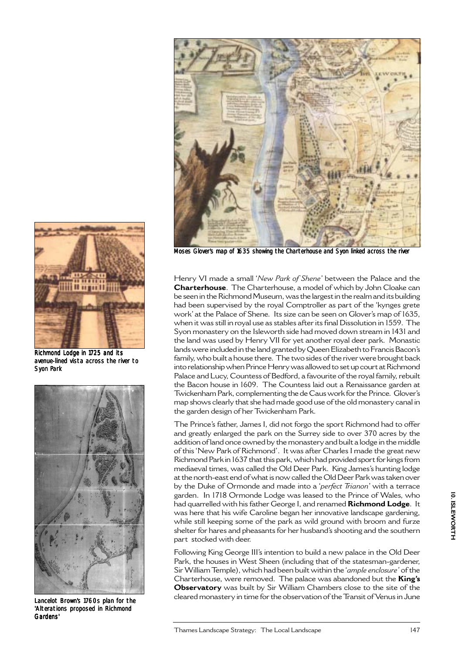



Henry VI made a small '*New Park of Shene*' between the Palace and the **Charterhouse**. The Charterhouse, a model of which by John Cloake can be seen in the Richmond Museum, was the largest in the realm and its building had been supervised by the royal Comptroller as part of the 'kynges grete work' at the Palace of Shene. Its size can be seen on Glover's map of 1635, when it was still in royal use as stables after its final Dissolution in 1559. The Syon monastery on the Isleworth side had moved down stream in 1431 and the land was used by Henry VII for yet another royal deer park. Monastic lands were included in the land granted by Queen Elizabeth to Francis Bacon's family, who built a house there. The two sides of the river were brought back into relationship when Prince Henry was allowed to set up court at Richmond Palace and Lucy, Countess of Bedford, a favourite of the royal family, rebuilt the Bacon house in 1609. The Countess laid out a Renaissance garden at Twickenham Park, complementing the de Caus work for the Prince. Glover's map shows clearly that she had made good use of the old monastery canal in the garden design of her Twickenham Park.

The Prince's father, James I, did not forgo the sport Richmond had to offer and greatly enlarged the park on the Surrey side to over 370 acres by the addition of land once owned by the monastery and built a lodge in the middle of this 'New Park of Richmond'. It was after Charles I made the great new Richmond Park in 1637 that this park, which had provided sport for kings from mediaeval times, was called the Old Deer Park. King James's hunting lodge at the north-east end of what is now called the Old Deer Park was taken over by the Duke of Ormonde and made into a '*perfect Trianon*' with a terrace garden. In 1718 Ormonde Lodge was leased to the Prince of Wales, who had quarrelled with his father George I, and renamed **Richmond Lodge**. It was here that his wife Caroline began her innovative landscape gardening, while still keeping some of the park as wild ground with broom and furze shelter for hares and pheasants for her husband's shooting and the southern part stocked with deer.

Following King George III's intention to build a new palace in the Old Deer Park, the houses in West Sheen (including that of the statesman-gardener, Sir William Temple), which had been built within the '*ample enclosure'* of the Charterhouse, were removed. The palace was abandoned but the **King's Observatory** was built by Sir William Chambers close to the site of the cleared monastery in time for the observation of the Transit of Venus in June



Richmond Lodge in 1725 and its avenue-lined vista across the river to Syon Park



Lancelot Brown's 1760s plan for the 'Alterations proposed in Richmond Gardens'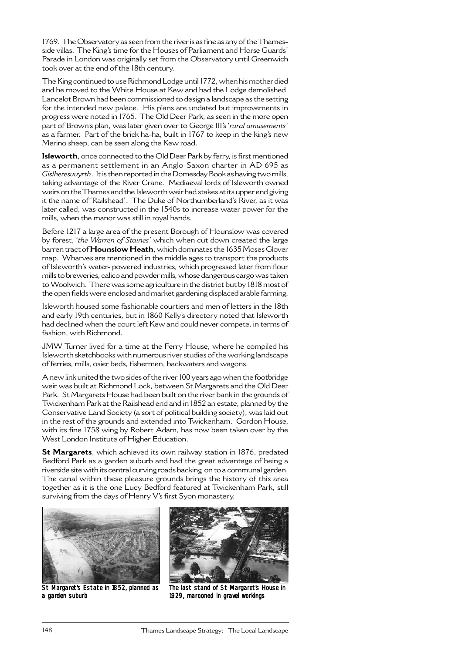1769. The Observatory as seen from the river is as fine as any of the Thamesside villas. The King's time for the Houses of Parliament and Horse Guards' Parade in London was originally set from the Observatory until Greenwich took over at the end of the 18th century.

The King continued to use Richmond Lodge until 1772, when his mother died and he moved to the White House at Kew and had the Lodge demolished. Lancelot Brown had been commissioned to design a landscape as the setting for the intended new palace. His plans are undated but improvements in progress were noted in 1765. The Old Deer Park, as seen in the more open part of Brown's plan, was later given over to George III's '*rural amusements*' as a farmer. Part of the brick ha-ha, built in 1767 to keep in the king's new Merino sheep, can be seen along the Kew road.

**Isleworth**, once connected to the Old Deer Park by ferry, is first mentioned as a permanent settlement in an Anglo-Saxon charter in AD 695 as *Gislheresuuyrth*. It is then reported in the Domesday Book as having two mills, taking advantage of the River Crane. Mediaeval lords of Isleworth owned weirs on the Thames and the Isleworth weir had stakes at its upper end giving it the name of 'Railshead'. The Duke of Northumberland's River, as it was later called, was constructed in the 1540s to increase water power for the mills, when the manor was still in royal hands.

Before 1217 a large area of the present Borough of Hounslow was covered by forest, '*the Warren of Staines'* which when cut down created the large barren tract of **Hounslow Heath**, which dominates the 1635 Moses Glover map. Wharves are mentioned in the middle ages to transport the products of Isleworth's water- powered industries, which progressed later from flour mills to breweries, calico and powder mills, whose dangerous cargo was taken to Woolwich. There was some agriculture in the district but by 1818 most of the open fields were enclosed and market gardening displaced arable farming.

Isleworth housed some fashionable courtiers and men of letters in the 18th and early 19th centuries, but in 1860 Kelly's directory noted that Isleworth had declined when the court left Kew and could never compete, in terms of fashion, with Richmond.

JMW Turner lived for a time at the Ferry House, where he compiled his Isleworth sketchbooks with numerous river studies of the working landscape of ferries, mills, osier beds, fishermen, backwaters and wagons.

A new link united the two sides of the river 100 years ago when the footbridge weir was built at Richmond Lock, between St Margarets and the Old Deer Park. St Margarets House had been built on the river bank in the grounds of Twickenham Park at the Railshead end and in 1852 an estate, planned by the Conservative Land Society (a sort of political building society), was laid out in the rest of the grounds and extended into Twickenham. Gordon House, with its fine 1758 wing by Robert Adam, has now been taken over by the West London Institute of Higher Education.

**St Margarets**, which achieved its own railway station in 1876, predated Bedford Park as a garden suburb and had the great advantage of being a riverside site with its central curving roads backing on to a communal garden. The canal within these pleasure grounds brings the history of this area together as it is the one Lucy Bedford featured at Twickenham Park, still surviving from the days of Henry V's first Syon monastery.



St Margaret's Estate in 1852, planned as a garden suburb



The last stand of St Margaret's House in 1929, marooned in gravel workings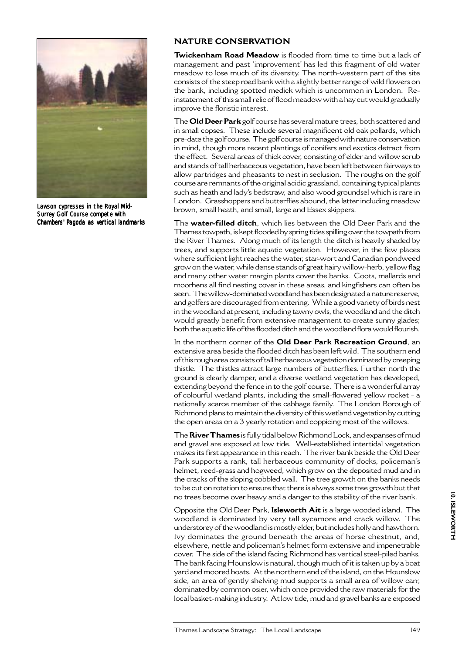

Lawson cypresses in the Royal Mid-Surrey Golf Course compete with Chambers' Pagoda as vertical landmarks

#### **NATURE CONSERVATION**

**Twickenham Road Meadow** is flooded from time to time but a lack of management and past 'improvement' has led this fragment of old water meadow to lose much of its diversity. The north-western part of the site consists of the steep road bank with a slightly better range of wild flowers on the bank, including spotted medick which is uncommon in London. Reinstatement of this small relic of flood meadow with a hay cut would gradually improve the floristic interest.

The **Old Deer Park** golf course has several mature trees, both scattered and in small copses. These include several magnificent old oak pollards, which pre-date the golf course. The golf course is managed with nature conservation in mind, though more recent plantings of conifers and exotics detract from the effect. Several areas of thick cover, consisting of elder and willow scrub and stands of tall herbaceous vegetation, have been left between fairways to allow partridges and pheasants to nest in seclusion. The roughs on the golf course are remnants of the original acidic grassland, containing typical plants such as heath and lady's bedstraw, and also wood groundsel which is rare in London. Grasshoppers and butterflies abound, the latter including meadow brown, small heath, and small, large and Essex skippers.

The **water-filled ditch**, which lies between the Old Deer Park and the Thames towpath, is kept flooded by spring tides spilling over the towpath from the River Thames. Along much of its length the ditch is heavily shaded by trees, and supports little aquatic vegetation. However, in the few places where sufficient light reaches the water, star-wort and Canadian pondweed grow on the water, while dense stands of great hairy willow-herb, yellow flag and many other water margin plants cover the banks. Coots, mallards and moorhens all find nesting cover in these areas, and kingfishers can often be seen. The willow-dominated woodland has been designated a nature reserve, and golfers are discouraged from entering. While a good variety of birds nest in the woodland at present, including tawny owls, the woodland and the ditch would greatly benefit from extensive management to create sunny glades; both the aquatic life of the flooded ditch and the woodland flora would flourish.

In the northern corner of the **Old Deer Park Recreation Ground**, an extensive area beside the flooded ditch has been left wild. The southern end of this rough area consists of tall herbaceous vegetation dominated by creeping thistle. The thistles attract large numbers of butterflies. Further north the ground is clearly damper, and a diverse wetland vegetation has developed, extending beyond the fence in to the golf course. There is a wonderful array of colourful wetland plants, including the small-flowered yellow rocket - a nationally scarce member of the cabbage family. The London Borough of Richmond plans to maintain the diversity of this wetland vegetation by cutting the open areas on a 3 yearly rotation and coppicing most of the willows.

The **River Thames** is fully tidal below Richmond Lock, and expanses of mud and gravel are exposed at low tide. Well-established intertidal vegetation makes its first appearance in this reach. The river bank beside the Old Deer Park supports a rank, tall herbaceous community of docks, policeman's helmet, reed-grass and hogweed, which grow on the deposited mud and in the cracks of the sloping cobbled wall. The tree growth on the banks needs to be cut on rotation to ensure that there is always some tree growth but that no trees become over heavy and a danger to the stability of the river bank.

Opposite the Old Deer Park, **Isleworth Ait** is a large wooded island. The woodland is dominated by very tall sycamore and crack willow. The understorey of the woodland is mostly elder, but includes holly and hawthorn. Ivy dominates the ground beneath the areas of horse chestnut, and, elsewhere, nettle and policeman's helmet form extensive and impenetrable cover. The side of the island facing Richmond has vertical steel-piled banks. The bank facing Hounslow is natural, though much of it is taken up by a boat yard and moored boats. At the northern end of the island, on the Hounslow side, an area of gently shelving mud supports a small area of willow carr, dominated by common osier, which once provided the raw materials for the local basket-making industry. At low tide, mud and gravel banks are exposed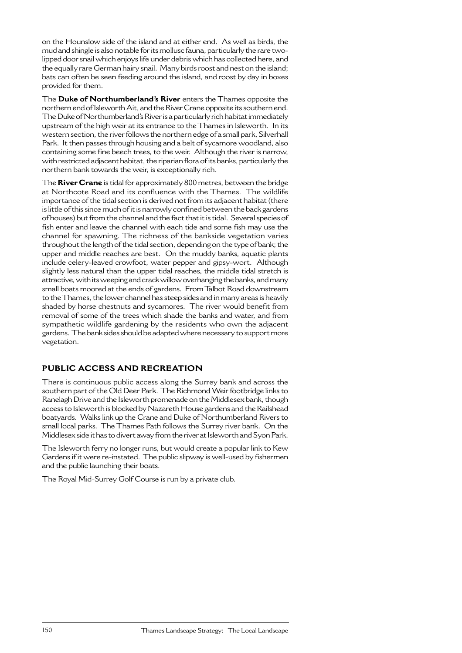on the Hounslow side of the island and at either end. As well as birds, the mud and shingle is also notable for its mollusc fauna, particularly the rare twolipped door snail which enjoys life under debris which has collected here, and the equally rare German hairy snail. Many birds roost and nest on the island; bats can often be seen feeding around the island, and roost by day in boxes provided for them.

The **Duke of Northumberland's River** enters the Thames opposite the northern end of Isleworth Ait, and the River Crane opposite its southern end. The Duke of Northumberland's River is a particularly rich habitat immediately upstream of the high weir at its entrance to the Thames in Isleworth. In its western section, the river follows the northern edge of a small park, Silverhall Park. It then passes through housing and a belt of sycamore woodland, also containing some fine beech trees, to the weir. Although the river is narrow, with restricted adjacent habitat, the riparian flora of its banks, particularly the northern bank towards the weir, is exceptionally rich.

The **River Crane** is tidal for approximately 800 metres, between the bridge at Northcote Road and its confluence with the Thames. The wildlife importance of the tidal section is derived not from its adjacent habitat (there is little of this since much of it is narrowly confined between the back gardens of houses) but from the channel and the fact that it is tidal. Several species of fish enter and leave the channel with each tide and some fish may use the channel for spawning. The richness of the bankside vegetation varies throughout the length of the tidal section, depending on the type of bank; the upper and middle reaches are best. On the muddy banks, aquatic plants include celery-leaved crowfoot, water pepper and gipsy-wort. Although slightly less natural than the upper tidal reaches, the middle tidal stretch is attractive, with its weeping and crack willow overhanging the banks, and many small boats moored at the ends of gardens. From Talbot Road downstream to the Thames, the lower channel has steep sides and in many areas is heavily shaded by horse chestnuts and sycamores. The river would benefit from removal of some of the trees which shade the banks and water, and from sympathetic wildlife gardening by the residents who own the adjacent gardens. The bank sides should be adapted where necessary to support more vegetation.

# **PUBLIC ACCESS AND RECREATION**

There is continuous public access along the Surrey bank and across the southern part of the Old Deer Park. The Richmond Weir footbridge links to Ranelagh Drive and the Isleworth promenade on the Middlesex bank, though access to Isleworth is blocked by Nazareth House gardens and the Railshead boatyards. Walks link up the Crane and Duke of Northumberland Rivers to small local parks. The Thames Path follows the Surrey river bank. On the Middlesex side it has to divert away from the river at Isleworth and Syon Park.

The Isleworth ferry no longer runs, but would create a popular link to Kew Gardens if it were re-instated. The public slipway is well-used by fishermen and the public launching their boats.

The Royal Mid-Surrey Golf Course is run by a private club.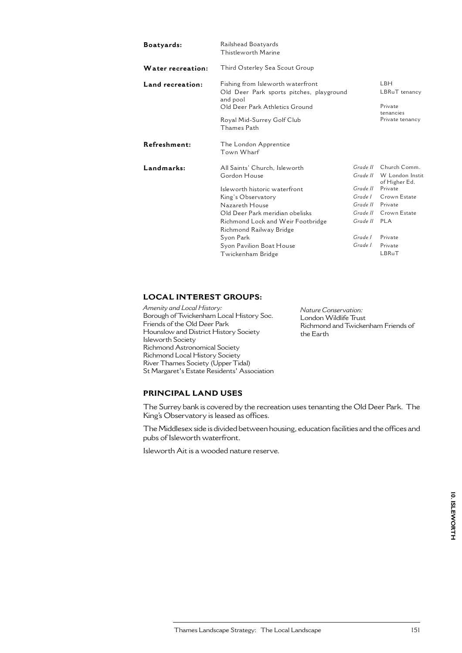| Railshead Boatyards<br>Thistleworth Marine                                                                                                                                                                                                                                              |                                                                                               |                                                                                                                                                |
|-----------------------------------------------------------------------------------------------------------------------------------------------------------------------------------------------------------------------------------------------------------------------------------------|-----------------------------------------------------------------------------------------------|------------------------------------------------------------------------------------------------------------------------------------------------|
| Third Osterley Sea Scout Group                                                                                                                                                                                                                                                          |                                                                                               |                                                                                                                                                |
| Fishing from Isleworth waterfront<br>Old Deer Park sports pitches, playground<br>and pool<br>Old Deer Park Athletics Ground<br>Royal Mid-Surrey Golf Club                                                                                                                               |                                                                                               | LBH.<br>LBRuT tenancy<br>Private<br>tenancies<br>Private tenancy                                                                               |
| Thames Path                                                                                                                                                                                                                                                                             |                                                                                               |                                                                                                                                                |
| The London Apprentice<br>Town Wharf                                                                                                                                                                                                                                                     |                                                                                               |                                                                                                                                                |
| All Saints' Church, Isleworth<br>Gordon House<br>Isleworth historic waterfront<br>King's Observatory<br>Nazareth House<br>Old Deer Park meridian obelisks<br>Richmond Lock and Weir Footbridge<br>Richmond Railway Bridge<br>Syon Park<br>Syon Pavilion Boat House<br>Twickenham Bridge | Grade II<br>Grade II<br>Grade L<br>Grade II<br>Grade II<br>Grade II PLA<br>Grade I<br>Grade I | Grade II Church Comm.<br>W London Instit<br>of Higher Ed.<br>Private<br>Crown Estate<br>Private<br>Crown Estate<br>Private<br>Private<br>LBRuT |
|                                                                                                                                                                                                                                                                                         |                                                                                               |                                                                                                                                                |

### **LOCAL INTEREST GROUPS:**

*Amenity and Local History:* Borough of Twickenham Local History Soc. Friends of the Old Deer Park Hounslow and District History Society Isleworth Society Richmond Astronomical Society Richmond Local History Society River Thames Society (Upper Tidal) St Margaret's Estate Residents' Association *Nature Conservation:* London Wildlife Trust Richmond and Twickenham Friends of the Earth

# **PRINCIPAL LAND USES**

The Surrey bank is covered by the recreation uses tenanting the Old Deer Park. The King's Observatory is leased as offices.

The Middlesex side is divided between housing, education facilities and the offices and pubs of Isleworth waterfront.

Isleworth Ait is a wooded nature reserve.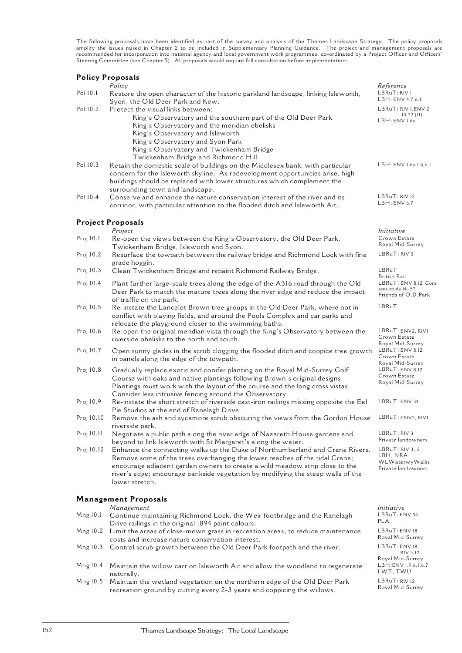The following proposals have been identified as part of the survey and analysis of the Thames Landscape Strategy. The policy proposals amplify the issues raised in Chapter 2 to be included in Supplementary Planning Guidance. The project and management proposals are recommended for incorporation into national agency and local government work programmes, co-ordinated by a Project Officer and Officers' Steering Committee (see Chapter 5). All proposals would require full consultation before implementation:

#### **Policy Proposals**

|            | т онсу тторозата<br>Policy                                                                                                                                                                                                                                                                                                                     | Reference                                                           |
|------------|------------------------------------------------------------------------------------------------------------------------------------------------------------------------------------------------------------------------------------------------------------------------------------------------------------------------------------------------|---------------------------------------------------------------------|
| Pol 10.1   | Restore the open character of the historic parkland landscape, linking Isleworth,<br>Syon, the Old Deer Park and Kew.                                                                                                                                                                                                                          | LBRuT: RIV 1<br>LBH: ENV 4.7,6.1                                    |
| Pol 10.2   | Protect the visual links between:                                                                                                                                                                                                                                                                                                              | LBRuT: RIV 1, ENV 2                                                 |
|            | King's Observatory and the southern part of the Old Deer Park<br>King's Observatory and the meridian obelisks<br>King's Observatory and Isleworth<br>King's Observatory and Syon Park<br>King's Observatory and Twickenham Bridge<br>Twickenham Bridge and Richmond Hill                                                                       | 13.32(11)<br>LBH: ENV 1.6a                                          |
| Pol 10.3   | Retain the domestic scale of buildings on the Middlesex bank, with particular<br>concern for the Isleworth skyline. As redevelopment opportunities arise, high<br>buildings should be replaced with lower structures which complement the<br>surrounding town and landscape.                                                                   | LBH: ENV 1.6a, 1.6, 6.1                                             |
| Pol 10.4   | Conserve and enhance the nature conservation interest of the river and its<br>corridor, with particular attention to the flooded ditch and Isleworth Ait                                                                                                                                                                                       | LBRuT: RIV 12<br>LBH:ENV 6.7                                        |
|            | <b>Project Proposals</b><br>Project                                                                                                                                                                                                                                                                                                            | Initiative                                                          |
| Proj 10.1  | Re-open the views between the King's Observatory, the Old Deer Park,<br>Twickenham Bridge, Isleworth and Syon.                                                                                                                                                                                                                                 | Crown Estate<br>Royal Mid-Surrey                                    |
| Proj 10.2  | Resurface the towpath between the railway bridge and Richmond Lock with fine<br>grade hoggin.                                                                                                                                                                                                                                                  | LBRuT: RIV 3                                                        |
| Proj 10.3  | Clean Twickenham Bridge and repaint Richmond Railway Bridge.                                                                                                                                                                                                                                                                                   | LBRuT<br>British Rail                                               |
| Proj 10.4  | Plant further large-scale trees along the edge of the A316 road through the Old<br>Deer Park to match the mature trees along the river edge and reduce the impact<br>of traffic on the park.                                                                                                                                                   | LBRuT: ENV 8,12 Cons<br>area study No 57<br>Friends of O.D.Park     |
| Proj 10.5  | Re-instate the Lancelot Brown tree groups in the Old Deer Park, where not in<br>conflict with playing fields, and around the Pools Complex and car parks and<br>relocate the playground closer to the swimming baths.                                                                                                                          | LBRuT                                                               |
| Proj 10.6  | Re-open the original meridian vista through the King's Observatory between the<br>riverside obelisks to the north and south.                                                                                                                                                                                                                   | LBRuT: ENV2, RIVI<br>Crown Estate<br>Royal Mid-Surrey               |
| Proj 10.7  | Open sunny glades in the scrub clogging the flooded ditch and coppice tree growth<br>in panels along the edge of the towpath.                                                                                                                                                                                                                  | LBRuT: ENV 8,12<br>Crown Estate<br>Royal Mid-Surrey                 |
| Proj 10.8  | Gradually replace exotic and conifer planting on the Royal Mid-Surrey Golf<br>Course with oaks and native plantings following Brown's original designs.<br>Plantings must work with the layout of the course and the long cross vistas.<br>Consider less intrusive fencing around the Observatory.                                             | LBRuT: ENV 8,12<br>Crown Estate<br>Royal Mid-Surrey                 |
| Proj 10.9  | Re-instate the short stretch of riverside cast-iron railings missing opposite the Eel<br>Pie Studios at the end of Ranelagh Drive.                                                                                                                                                                                                             | LBRuT: ENV 34                                                       |
| Proj 10.10 | Remove the ash and sycamore scrub obscuring the views from the Gordon House<br>riverside park.                                                                                                                                                                                                                                                 | LBRuT: ENV2, RIVI                                                   |
| Proj 10.11 | Negotiate a public path along the river edge of Nazareth House gardens and<br>beyond to link Isleworth with St Margaret's along the water.                                                                                                                                                                                                     | LBRuT: RIV 3<br>Private landowners                                  |
| Proj 10.12 | Enhance the connecting walks up the Duke of Northumberland and Crane Rivers.<br>Remove some of the trees overhanging the lower reaches of the tidal Crane;<br>encourage adjacent garden owners to create a wild meadow strip close to the<br>river's edge; encourage bankside vegetation by modifying the steep walls of the<br>lower stretch. | LBRuT: RIV 3,12<br>LBH, NRA<br>WLWaterwyWalks<br>Private landowners |
|            | <b>Management Proposals</b>                                                                                                                                                                                                                                                                                                                    |                                                                     |
| Mng 10.1   | Management<br>Continue maintaining Richmond Lock, the Weir footbridge and the Ranelagh<br>Drive railings in the original 1894 paint colours.                                                                                                                                                                                                   | Initiative<br>LBRuT: ENV 34<br>PLA                                  |
| Mng 10.2   | Limit the areas of close-mown grass in recreation areas, to reduce maintenance<br>costs and increase nature conservation interest.                                                                                                                                                                                                             | LBRuT: ENV 18<br>Royal Mid-Surrey                                   |
| Mng 10.3   | Control scrub growth between the Old Deer Park footpath and the river.                                                                                                                                                                                                                                                                         | LBRuT: ENV 18,<br>RIV 3,12                                          |
| Mng 10.4   | Maintain the willow carr on Isleworth Ait and allow the woodland to regenerate<br>naturally.                                                                                                                                                                                                                                                   | Royal Mid-Surrey<br>LBH: ENV 1.9, 6.1, 6.7<br>LWT, TWU              |

Mng 10.5 Maintain the wetland vegetation on the northern edge of the Old Deer Park recreation ground by cutting every 2-3 years and coppicing the willows.

LBRuT: RIV 12 Royal Mid-Surrey